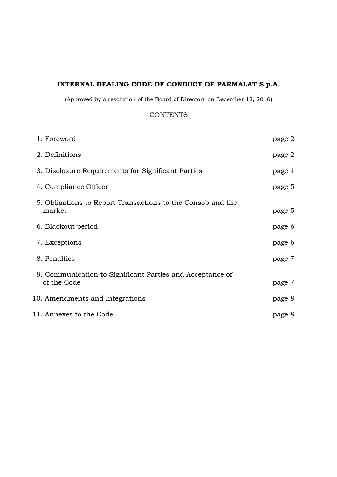# **INTERNAL DEALING CODE OF CONDUCT OF PARMALAT S.p.A.**

(Approved by a resolution of the Board of Directors on December 12, 2016)

### **CONTENTS**

| 1. Foreword                                                              | page 2 |
|--------------------------------------------------------------------------|--------|
| 2. Definitions                                                           | page 2 |
| 3. Disclosure Requirements for Significant Parties                       | page 4 |
| 4. Compliance Officer                                                    | page 5 |
| 5. Obligations to Report Transactions to the Consob and the<br>market    | page 5 |
| 6. Blackout period                                                       | page 6 |
| 7. Exceptions                                                            | page 6 |
| 8. Penalties                                                             | page 7 |
| 9. Communication to Significant Parties and Acceptance of<br>of the Code | page 7 |
| 10. Amendments and Integrations                                          | page 8 |
| 11. Annexes to the Code                                                  | page 8 |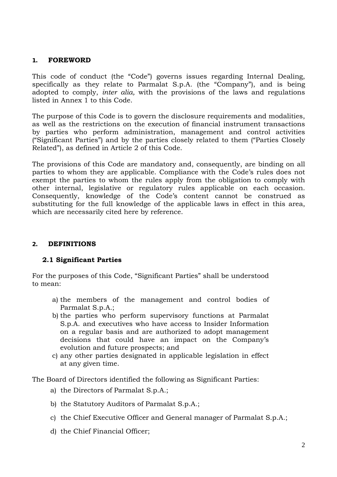#### **1. FOREWORD**

This code of conduct (the "Code") governs issues regarding Internal Dealing, specifically as they relate to Parmalat S.p.A. (the "Company"), and is being adopted to comply, *inter alia,* with the provisions of the laws and regulations listed in Annex 1 to this Code.

The purpose of this Code is to govern the disclosure requirements and modalities, as well as the restrictions on the execution of financial instrument transactions by parties who perform administration, management and control activities ("Significant Parties") and by the parties closely related to them ("Parties Closely Related"), as defined in Article 2 of this Code.

The provisions of this Code are mandatory and, consequently, are binding on all parties to whom they are applicable. Compliance with the Code's rules does not exempt the parties to whom the rules apply from the obligation to comply with other internal, legislative or regulatory rules applicable on each occasion. Consequently, knowledge of the Code's content cannot be construed as substituting for the full knowledge of the applicable laws in effect in this area, which are necessarily cited here by reference.

### **2. DEFINITIONS**

### **2.1 Significant Parties**

For the purposes of this Code, "Significant Parties" shall be understood to mean:

- a) the members of the management and control bodies of Parmalat S.p.A.;
- b) the parties who perform supervisory functions at Parmalat S.p.A. and executives who have access to Insider Information on a regular basis and are authorized to adopt management decisions that could have an impact on the Company's evolution and future prospects; and
- c) any other parties designated in applicable legislation in effect at any given time.

The Board of Directors identified the following as Significant Parties:

- a) the Directors of Parmalat S.p.A.;
- b) the Statutory Auditors of Parmalat S.p.A.;
- c) the Chief Executive Officer and General manager of Parmalat S.p.A.;
- d) the Chief Financial Officer;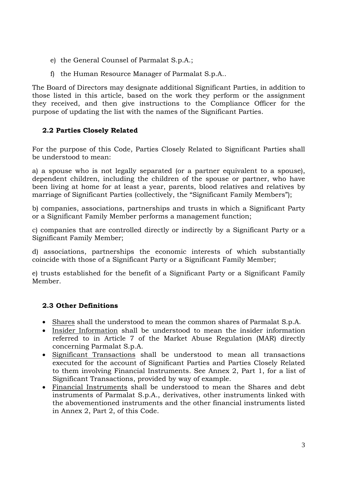- e) the General Counsel of Parmalat S.p.A.;
- f) the Human Resource Manager of Parmalat S.p.A..

The Board of Directors may designate additional Significant Parties, in addition to those listed in this article, based on the work they perform or the assignment they received, and then give instructions to the Compliance Officer for the purpose of updating the list with the names of the Significant Parties.

## **2.2 Parties Closely Related**

For the purpose of this Code, Parties Closely Related to Significant Parties shall be understood to mean:

a) a spouse who is not legally separated (or a partner equivalent to a spouse), dependent children, including the children of the spouse or partner, who have been living at home for at least a year, parents, blood relatives and relatives by marriage of Significant Parties (collectively, the "Significant Family Members");

b) companies, associations, partnerships and trusts in which a Significant Party or a Significant Family Member performs a management function;

c) companies that are controlled directly or indirectly by a Significant Party or a Significant Family Member;

d) associations, partnerships the economic interests of which substantially coincide with those of a Significant Party or a Significant Family Member;

e) trusts established for the benefit of a Significant Party or a Significant Family Member.

## **2.3 Other Definitions**

- Shares shall the understood to mean the common shares of Parmalat S.p.A.
- Insider Information shall be understood to mean the insider information referred to in Article 7 of the Market Abuse Regulation (MAR) directly concerning Parmalat S.p.A.
- Significant Transactions shall be understood to mean all transactions executed for the account of Significant Parties and Parties Closely Related to them involving Financial Instruments. See Annex 2, Part 1, for a list of Significant Transactions, provided by way of example.
- Financial Instruments shall be understood to mean the Shares and debt instruments of Parmalat S.p.A., derivatives, other instruments linked with the abovementioned instruments and the other financial instruments listed in Annex 2, Part 2, of this Code.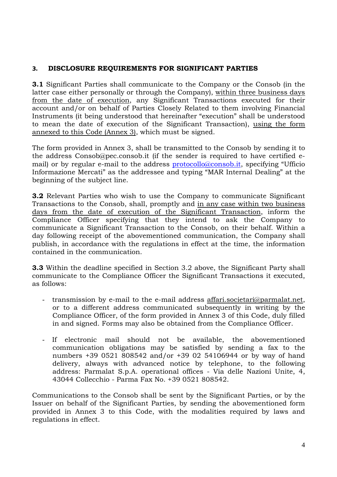## **3. DISCLOSURE REQUIREMENTS FOR SIGNIFICANT PARTIES**

**3.1** Significant Parties shall communicate to the Company or the Consob (in the latter case either personally or through the Company), within three business days from the date of execution, any Significant Transactions executed for their account and/or on behalf of Parties Closely Related to them involving Financial Instruments (it being understood that hereinafter "execution" shall be understood to mean the date of execution of the Significant Transaction), using the form annexed to this Code (Annex 3), which must be signed.

The form provided in Annex 3, shall be transmitted to the Consob by sending it to the address Consob@pec.consob.it (if the sender is required to have certified email) or by regular e-mail to the address protocollo@consob.it, specifying "Ufficio Informazione Mercati" as the addressee and typing "MAR Internal Dealing" at the beginning of the subject line.

**3.2** Relevant Parties who wish to use the Company to communicate Significant Transactions to the Consob, shall, promptly and in any case within two business days from the date of execution of the Significant Transaction, inform the Compliance Officer specifying that they intend to ask the Company to communicate a Significant Transaction to the Consob, on their behalf. Within a day following receipt of the abovementioned communication, the Company shall publish, in accordance with the regulations in effect at the time, the information contained in the communication.

**3.3** Within the deadline specified in Section 3.2 above, the Significant Party shall communicate to the Compliance Officer the Significant Transactions it executed, as follows:

- transmission by e-mail to the e-mail address affari.societari@parmalat.net, or to a different address communicated subsequently in writing by the Compliance Officer, of the form provided in Annex 3 of this Code, duly filled in and signed. Forms may also be obtained from the Compliance Officer.
- If electronic mail should not be available, the abovementioned communication obligations may be satisfied by sending a fax to the numbers +39 0521 808542 and/or +39 02 54106944 or by way of hand delivery, always with advanced notice by telephone, to the following address: Parmalat S.p.A. operational offices - Via delle Nazioni Unite, 4, 43044 Collecchio - Parma Fax No. +39 0521 808542.

Communications to the Consob shall be sent by the Significant Parties, or by the Issuer on behalf of the Significant Parties, by sending the abovementioned form provided in Annex 3 to this Code, with the modalities required by laws and regulations in effect.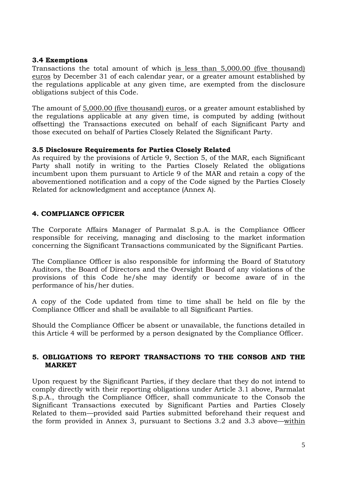#### **3.4 Exemptions**

Transactions the total amount of which is less than 5,000.00 (five thousand) euros by December 31 of each calendar year, or a greater amount established by the regulations applicable at any given time, are exempted from the disclosure obligations subject of this Code.

The amount of 5,000.00 (five thousand) euros, or a greater amount established by the regulations applicable at any given time, is computed by adding (without offsetting) the Transactions executed on behalf of each Significant Party and those executed on behalf of Parties Closely Related the Significant Party.

#### **3.5 Disclosure Requirements for Parties Closely Related**

As required by the provisions of Article 9, Section 5, of the MAR, each Significant Party shall notify in writing to the Parties Closely Related the obligations incumbent upon them pursuant to Article 9 of the MAR and retain a copy of the abovementioned notification and a copy of the Code signed by the Parties Closely Related for acknowledgment and acceptance (Annex A).

#### **4. COMPLIANCE OFFICER**

The Corporate Affairs Manager of Parmalat S.p.A. is the Compliance Officer responsible for receiving, managing and disclosing to the market information concerning the Significant Transactions communicated by the Significant Parties.

The Compliance Officer is also responsible for informing the Board of Statutory Auditors, the Board of Directors and the Oversight Board of any violations of the provisions of this Code he/she may identify or become aware of in the performance of his/her duties.

A copy of the Code updated from time to time shall be held on file by the Compliance Officer and shall be available to all Significant Parties.

Should the Compliance Officer be absent or unavailable, the functions detailed in this Article 4 will be performed by a person designated by the Compliance Officer.

#### **5. OBLIGATIONS TO REPORT TRANSACTIONS TO THE CONSOB AND THE MARKET**

Upon request by the Significant Parties, if they declare that they do not intend to comply directly with their reporting obligations under Article 3.1 above, Parmalat S.p.A., through the Compliance Officer, shall communicate to the Consob the Significant Transactions executed by Significant Parties and Parties Closely Related to them—provided said Parties submitted beforehand their request and the form provided in Annex 3, pursuant to Sections 3.2 and 3.3 above—within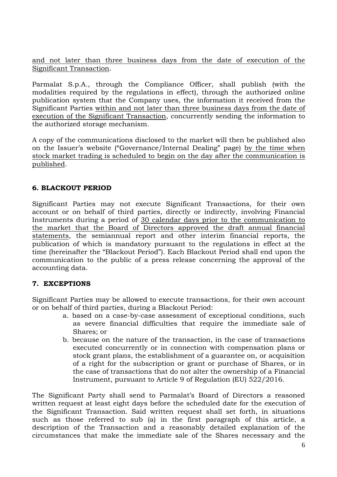and not later than three business days from the date of execution of the Significant Transaction.

Parmalat S.p.A., through the Compliance Officer, shall publish (with the modalities required by the regulations in effect), through the authorized online publication system that the Company uses, the information it received from the Significant Parties within and not later than three business days from the date of execution of the Significant Transaction, concurrently sending the information to the authorized storage mechanism.

A copy of the communications disclosed to the market will then be published also on the Issuer's website ("Governance/Internal Dealing" page) by the time when stock market trading is scheduled to begin on the day after the communication is published.

## **6. BLACKOUT PERIOD**

Significant Parties may not execute Significant Transactions, for their own account or on behalf of third parties, directly or indirectly, involving Financial Instruments during a period of 30 calendar days prior to the communication to the market that the Board of Directors approved the draft annual financial statements, the semiannual report and other interim financial reports, the publication of which is mandatory pursuant to the regulations in effect at the time (hereinafter the "Blackout Period"). Each Blackout Period shall end upon the communication to the public of a press release concerning the approval of the accounting data.

### **7. EXCEPTIONS**

Significant Parties may be allowed to execute transactions, for their own account or on behalf of third parties, during a Blackout Period:

- a. based on a case-by-case assessment of exceptional conditions, such as severe financial difficulties that require the immediate sale of Shares; or
- b. because on the nature of the transaction, in the case of transactions executed concurrently or in connection with compensation plans or stock grant plans, the establishment of a guarantee on, or acquisition of a right for the subscription or grant or purchase of Shares, or in the case of transactions that do not alter the ownership of a Financial Instrument, pursuant to Article 9 of Regulation (EU) 522/2016.

The Significant Party shall send to Parmalat's Board of Directors a reasoned written request at least eight days before the scheduled date for the execution of the Significant Transaction. Said written request shall set forth, in situations such as those referred to sub (a) in the first paragraph of this article, a description of the Transaction and a reasonably detailed explanation of the circumstances that make the immediate sale of the Shares necessary and the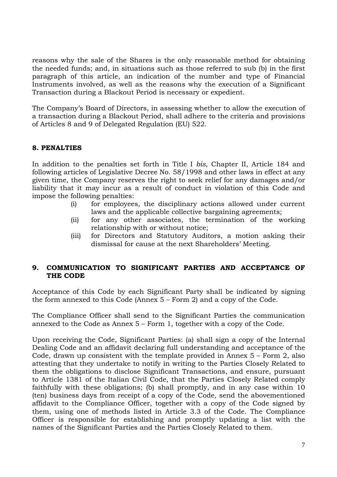reasons why the sale of the Shares is the only reasonable method for obtaining the needed funds; and, in situations such as those referred to sub (b) in the first paragraph of this article, an indication of the number and type of Financial Instruments involved, as well as the reasons why the execution of a Significant Transaction during a Blackout Period is necessary or expedient.

The Company's Board of Directors, in assessing whether to allow the execution of a transaction during a Blackout Period, shall adhere to the criteria and provisions of Articles 8 and 9 of Delegated Regulation (EU) 522.

### **8. PENALTIES**

In addition to the penalties set forth in Title I *bis*, Chapter II, Article 184 and following articles of Legislative Decree No. 58/1998 and other laws in effect at any given time, the Company reserves the right to seek relief for any damages and/or liability that it may incur as a result of conduct in violation of this Code and impose the following penalties:

- (i) for employees, the disciplinary actions allowed under current laws and the applicable collective bargaining agreements;
- (ii) for any other associates, the termination of the working relationship with or without notice;
- (iii) for Directors and Statutory Auditors, a motion asking their dismissal for cause at the next Shareholders' Meeting.

#### **9. COMMUNICATION TO SIGNIFICANT PARTIES AND ACCEPTANCE OF THE CODE**

Acceptance of this Code by each Significant Party shall be indicated by signing the form annexed to this Code (Annex 5 – Form 2) and a copy of the Code.

The Compliance Officer shall send to the Significant Parties the communication annexed to the Code as Annex 5 – Form 1, together with a copy of the Code.

Upon receiving the Code, Significant Parties: (a) shall sign a copy of the Internal Dealing Code and an affidavit declaring full understanding and acceptance of the Code, drawn up consistent with the template provided in Annex 5 – Form 2, also attesting that they undertake to notify in writing to the Parties Closely Related to them the obligations to disclose Significant Transactions, and ensure, pursuant to Article 1381 of the Italian Civil Code, that the Parties Closely Related comply faithfully with these obligations; (b) shall promptly, and in any case within 10 (ten) business days from receipt of a copy of the Code, send the abovementioned affidavit to the Compliance Officer, together with a copy of the Code signed by them, using one of methods listed in Article 3.3 of the Code. The Compliance Officer is responsible for establishing and promptly updating a list with the names of the Significant Parties and the Parties Closely Related to them.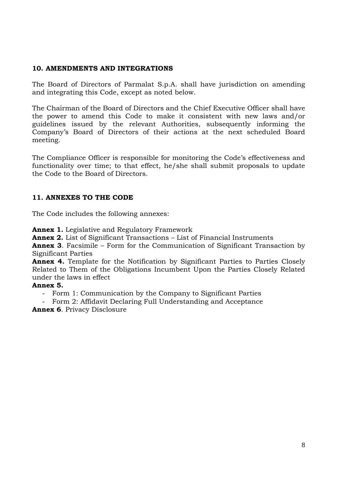#### **10. AMENDMENTS AND INTEGRATIONS**

The Board of Directors of Parmalat S.p.A. shall have jurisdiction on amending and integrating this Code, except as noted below.

The Chairman of the Board of Directors and the Chief Executive Officer shall have the power to amend this Code to make it consistent with new laws and/or guidelines issued by the relevant Authorities, subsequently informing the Company's Board of Directors of their actions at the next scheduled Board meeting.

The Compliance Officer is responsible for monitoring the Code's effectiveness and functionality over time; to that effect, he/she shall submit proposals to update the Code to the Board of Directors.

### **11. ANNEXES TO THE CODE**

The Code includes the following annexes:

**Annex 1.** Legislative and Regulatory Framework

**Annex 2.** List of Significant Transactions – List of Financial Instruments

**Annex 3**. Facsimile – Form for the Communication of Significant Transaction by Significant Parties

**Annex 4.** Template for the Notification by Significant Parties to Parties Closely Related to Them of the Obligations Incumbent Upon the Parties Closely Related under the laws in effect

#### **Annex 5.**

Form 1: Communication by the Company to Significant Parties

- Form 2: Affidavit Declaring Full Understanding and Acceptance

**Annex 6**. Privacy Disclosure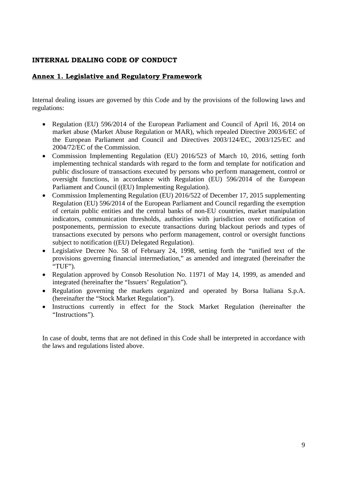#### **Annex 1. Legislative and Regulatory Framework**

Internal dealing issues are governed by this Code and by the provisions of the following laws and regulations:

- Regulation (EU) 596/2014 of the European Parliament and Council of April 16, 2014 on market abuse (Market Abuse Regulation or MAR), which repealed Directive 2003/6/EC of the European Parliament and Council and Directives 2003/124/EC, 2003/125/EC and 2004/72/EC of the Commission.
- Commission Implementing Regulation (EU) 2016/523 of March 10, 2016, setting forth implementing technical standards with regard to the form and template for notification and public disclosure of transactions executed by persons who perform management, control or oversight functions, in accordance with Regulation (EU) 596/2014 of the European Parliament and Council ((EU) Implementing Regulation).
- Commission Implementing Regulation (EU) 2016/522 of December 17, 2015 supplementing Regulation (EU) 596/2014 of the European Parliament and Council regarding the exemption of certain public entities and the central banks of non-EU countries, market manipulation indicators, communication thresholds, authorities with jurisdiction over notification of postponements, permission to execute transactions during blackout periods and types of transactions executed by persons who perform management, control or oversight functions subject to notification ((EU) Delegated Regulation).
- Legislative Decree No. 58 of February 24, 1998, setting forth the "unified text of the provisions governing financial intermediation," as amended and integrated (hereinafter the "TUF").
- Regulation approved by Consob Resolution No. 11971 of May 14, 1999, as amended and integrated (hereinafter the "Issuers' Regulation").
- Regulation governing the markets organized and operated by Borsa Italiana S.p.A. (hereinafter the "Stock Market Regulation").
- Instructions currently in effect for the Stock Market Regulation (hereinafter the "Instructions").

In case of doubt, terms that are not defined in this Code shall be interpreted in accordance with the laws and regulations listed above.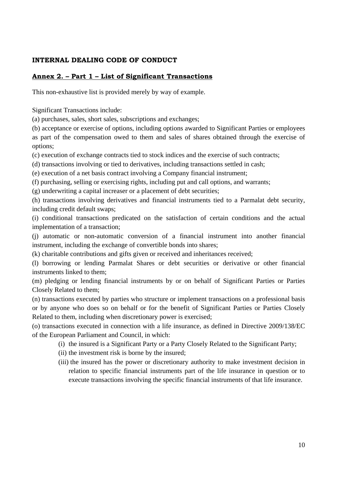### **Annex 2. – Part 1 – List of Significant Transactions**

This non-exhaustive list is provided merely by way of example.

Significant Transactions include:

(a) purchases, sales, short sales, subscriptions and exchanges;

(b) acceptance or exercise of options, including options awarded to Significant Parties or employees

as part of the compensation owed to them and sales of shares obtained through the exercise of options;

(c) execution of exchange contracts tied to stock indices and the exercise of such contracts;

(d) transactions involving or tied to derivatives, including transactions settled in cash;

(e) execution of a net basis contract involving a Company financial instrument;

(f) purchasing, selling or exercising rights, including put and call options, and warrants;

(g) underwriting a capital increaser or a placement of debt securities;

(h) transactions involving derivatives and financial instruments tied to a Parmalat debt security, including credit default swaps;

(i) conditional transactions predicated on the satisfaction of certain conditions and the actual implementation of a transaction;

(j) automatic or non-automatic conversion of a financial instrument into another financial instrument, including the exchange of convertible bonds into shares;

(k) charitable contributions and gifts given or received and inheritances received;

(l) borrowing or lending Parmalat Shares or debt securities or derivative or other financial instruments linked to them;

(m) pledging or lending financial instruments by or on behalf of Significant Parties or Parties Closely Related to them;

(n) transactions executed by parties who structure or implement transactions on a professional basis or by anyone who does so on behalf or for the benefit of Significant Parties or Parties Closely Related to them, including when discretionary power is exercised;

(o) transactions executed in connection with a life insurance, as defined in Directive 2009/138/EC of the European Parliament and Council, in which:

- (i) the insured is a Significant Party or a Party Closely Related to the Significant Party;
- (ii) the investment risk is borne by the insured;
- (iii) the insured has the power or discretionary authority to make investment decision in relation to specific financial instruments part of the life insurance in question or to execute transactions involving the specific financial instruments of that life insurance.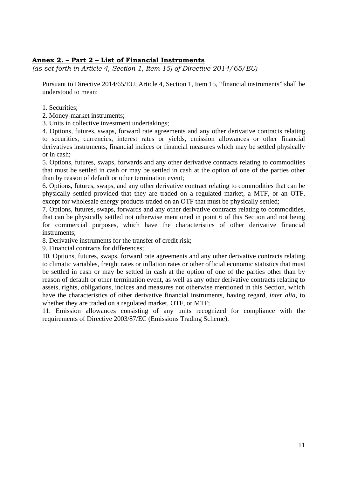#### **Annex 2. – Part 2 – List of Financial Instruments**

*(as set forth in Article 4, Section 1, Item 15) of Directive 2014/65/EU)* 

Pursuant to Directive 2014/65/EU, Article 4, Section 1, Item 15, "financial instruments" shall be understood to mean:

- 1. Securities;
- 2. Money-market instruments;
- 3. Units in collective investment undertakings;

4. Options, futures, swaps, forward rate agreements and any other derivative contracts relating to securities, currencies, interest rates or yields, emission allowances or other financial derivatives instruments, financial indices or financial measures which may be settled physically or in cash;

5. Options, futures, swaps, forwards and any other derivative contracts relating to commodities that must be settled in cash or may be settled in cash at the option of one of the parties other than by reason of default or other termination event;

6. Options, futures, swaps, and any other derivative contract relating to commodities that can be physically settled provided that they are traded on a regulated market, a MTF, or an OTF, except for wholesale energy products traded on an OTF that must be physically settled;

7. Options, futures, swaps, forwards and any other derivative contracts relating to commodities, that can be physically settled not otherwise mentioned in point 6 of this Section and not being for commercial purposes, which have the characteristics of other derivative financial instruments;

8. Derivative instruments for the transfer of credit risk;

9. Financial contracts for differences;

10. Options, futures, swaps, forward rate agreements and any other derivative contracts relating to climatic variables, freight rates or inflation rates or other official economic statistics that must be settled in cash or may be settled in cash at the option of one of the parties other than by reason of default or other termination event, as well as any other derivative contracts relating to assets, rights, obligations, indices and measures not otherwise mentioned in this Section, which have the characteristics of other derivative financial instruments, having regard, *inter alia,* to whether they are traded on a regulated market, OTF, or MTF;

11. Emission allowances consisting of any units recognized for compliance with the requirements of Directive 2003/87/EC (Emissions Trading Scheme).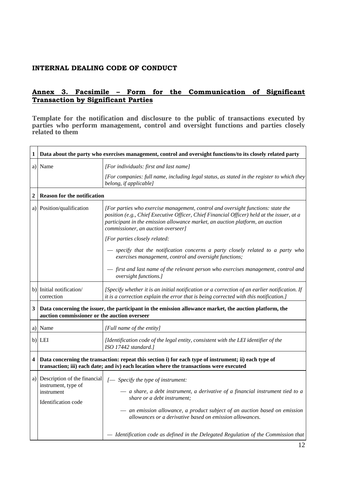#### **Annex 3. Facsimile – Form for the Communication of Significant Transaction by Significant Parties**

**Template for the notification and disclosure to the public of transactions executed by parties who perform management, control and oversight functions and parties closely related to them** 

| 1                | Data about the party who exercises management, control and oversight functions/to its closely related party                                                                                        |                                                                                                                                                                                                                                                                                                                                                                                        |  |  |
|------------------|----------------------------------------------------------------------------------------------------------------------------------------------------------------------------------------------------|----------------------------------------------------------------------------------------------------------------------------------------------------------------------------------------------------------------------------------------------------------------------------------------------------------------------------------------------------------------------------------------|--|--|
|                  | a) Name                                                                                                                                                                                            | [For individuals: first and last name]                                                                                                                                                                                                                                                                                                                                                 |  |  |
|                  |                                                                                                                                                                                                    | [For companies: full name, including legal status, as stated in the register to which they<br>belong, if applicable]                                                                                                                                                                                                                                                                   |  |  |
| $\boldsymbol{2}$ | <b>Reason for the notification</b>                                                                                                                                                                 |                                                                                                                                                                                                                                                                                                                                                                                        |  |  |
|                  | a) Position/qualification                                                                                                                                                                          | [For parties who exercise management, control and oversight functions: state the<br>position (e.g., Chief Executive Officer, Chief Financial Officer) held at the issuer, at a<br>participant in the emission allowance market, an auction platform, an auction<br>commissioner, an auction overseer]                                                                                  |  |  |
|                  |                                                                                                                                                                                                    | [For parties closely related:                                                                                                                                                                                                                                                                                                                                                          |  |  |
|                  |                                                                                                                                                                                                    | - specify that the notification concerns a party closely related to a party who<br>exercises management, control and oversight functions;                                                                                                                                                                                                                                              |  |  |
|                  |                                                                                                                                                                                                    | — first and last name of the relevant person who exercises management, control and<br>oversight functions.]                                                                                                                                                                                                                                                                            |  |  |
|                  | b) Initial notification/<br>correction                                                                                                                                                             | [Specify whether it is an initial notification or a correction of an earlier notification. If<br>it is a correction explain the error that is being corrected with this notification.]                                                                                                                                                                                                 |  |  |
| $\mathbf{3}$     | auction commissioner or the auction overseer                                                                                                                                                       | Data concerning the issuer, the participant in the emission allowance market, the auction platform, the                                                                                                                                                                                                                                                                                |  |  |
|                  | a) Name                                                                                                                                                                                            | [Full name of the entity]                                                                                                                                                                                                                                                                                                                                                              |  |  |
|                  | b) LEI                                                                                                                                                                                             | [Identification code of the legal entity, consistent with the LEI identifier of the<br>ISO 17442 standard.]                                                                                                                                                                                                                                                                            |  |  |
|                  | 4 Data concerning the transaction: repeat this section i) for each type of instrument; ii) each type of<br>transaction; iii) each date; and iv) each location where the transactions were executed |                                                                                                                                                                                                                                                                                                                                                                                        |  |  |
|                  | a) Description of the financial<br>instrument, type of<br>instrument<br>Identification code                                                                                                        | [- Specify the type of instrument:<br>$-$ a share, a debt instrument, a derivative of a financial instrument tied to a<br>share or a debt instrument;<br>- an emission allowance, a product subject of an auction based on emission<br>allowances or a derivative based on emission allowances.<br>- Identification code as defined in the Delegated Regulation of the Commission that |  |  |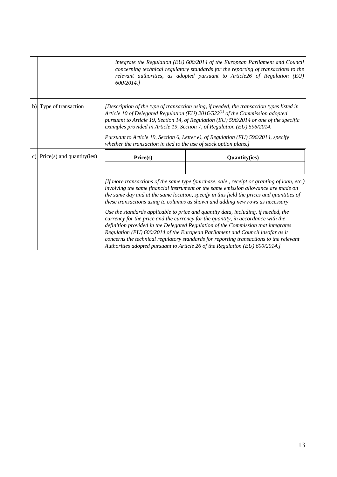|                               | 600/2014.1                                                                                                                                                                                                                                                                                                                                                                                                                                                                                                                                                                                                                                                                                                                                                                                                                                                                                | integrate the Regulation (EU) $600/2014$ of the European Parliament and Council<br>concerning technical regulatory standards for the reporting of transactions to the<br>relevant authorities, as adopted pursuant to Article26 of Regulation (EU) |  |
|-------------------------------|-------------------------------------------------------------------------------------------------------------------------------------------------------------------------------------------------------------------------------------------------------------------------------------------------------------------------------------------------------------------------------------------------------------------------------------------------------------------------------------------------------------------------------------------------------------------------------------------------------------------------------------------------------------------------------------------------------------------------------------------------------------------------------------------------------------------------------------------------------------------------------------------|----------------------------------------------------------------------------------------------------------------------------------------------------------------------------------------------------------------------------------------------------|--|
| b) Type of transaction        | [Description of the type of transaction using, if needed, the transaction types listed in<br>Article 10 of Delegated Regulation (EU) $2016/522^{(1)}$ of the Commission adopted<br>pursuant to Article 19, Section 14, of Regulation (EU) 596/2014 or one of the specific<br>examples provided in Article 19, Section 7, of Regulation (EU) 596/2014.<br>Pursuant to Article 19, Section 6, Letter e), of Regulation (EU) 596/2014, specify<br>whether the transaction in tied to the use of stock option plans.]                                                                                                                                                                                                                                                                                                                                                                         |                                                                                                                                                                                                                                                    |  |
| c) Price(s) and quantity(ies) | Price(s)                                                                                                                                                                                                                                                                                                                                                                                                                                                                                                                                                                                                                                                                                                                                                                                                                                                                                  | <b>Quantity(ies)</b>                                                                                                                                                                                                                               |  |
|                               | [If more transactions of the same type (purchase, sale, receipt or granting of loan, etc.)<br>involving the same financial instrument or the same emission allowance are made on<br>the same day and at the same location, specify in this field the prices and quantities of<br>these transactions using to columns as shown and adding new rows as necessary.<br>Use the standards applicable to price and quantity data, including, if needed, the<br>currency for the price and the currency for the quantity, in accordance with the<br>definition provided in the Delegated Regulation of the Commission that integrates<br>Regulation (EU) 600/2014 of the European Parliament and Council insofar as it<br>concerns the technical regulatory standards for reporting transactions to the relevant<br>Authorities adopted pursuant to Article 26 of the Regulation (EU) 600/2014.] |                                                                                                                                                                                                                                                    |  |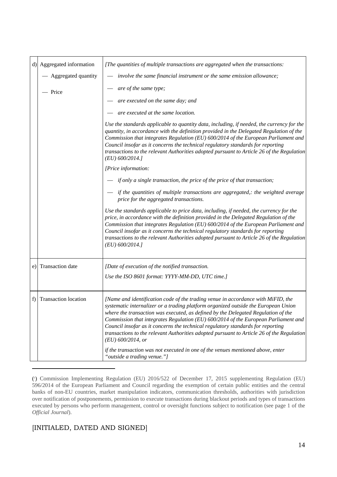|    | d) Aggregated information   | [The quantities of multiple transactions are aggregated when the transactions:                                                                                                                                                                                                                                                                                                                                                                                                                                                                                                                                                                                             |  |
|----|-----------------------------|----------------------------------------------------------------------------------------------------------------------------------------------------------------------------------------------------------------------------------------------------------------------------------------------------------------------------------------------------------------------------------------------------------------------------------------------------------------------------------------------------------------------------------------------------------------------------------------------------------------------------------------------------------------------------|--|
|    | - Aggregated quantity       | - involve the same financial instrument or the same emission allowance;                                                                                                                                                                                                                                                                                                                                                                                                                                                                                                                                                                                                    |  |
|    | - Price                     | are of the same type;                                                                                                                                                                                                                                                                                                                                                                                                                                                                                                                                                                                                                                                      |  |
|    |                             | are executed on the same day; and                                                                                                                                                                                                                                                                                                                                                                                                                                                                                                                                                                                                                                          |  |
|    |                             | are executed at the same location.                                                                                                                                                                                                                                                                                                                                                                                                                                                                                                                                                                                                                                         |  |
|    |                             | Use the standards applicable to quantity data, including, if needed, the currency for the<br>quantity, in accordance with the definition provided in the Delegated Regulation of the<br>Commission that integrates Regulation (EU) 600/2014 of the European Parliament and<br>Council insofar as it concerns the technical regulatory standards for reporting<br>transactions to the relevant Authorities adopted pursuant to Article 26 of the Regulation<br>$(EU)$ 600/2014.]                                                                                                                                                                                            |  |
|    |                             | [Price information:                                                                                                                                                                                                                                                                                                                                                                                                                                                                                                                                                                                                                                                        |  |
|    |                             | if only a single transaction, the price of the price of that transaction;                                                                                                                                                                                                                                                                                                                                                                                                                                                                                                                                                                                                  |  |
|    |                             | if the quantities of multiple transactions are aggregated,: the weighted average<br>price for the aggregated transactions.                                                                                                                                                                                                                                                                                                                                                                                                                                                                                                                                                 |  |
|    |                             | Use the standards applicable to price data, including, if needed, the currency for the<br>price, in accordance with the definition provided in the Delegated Regulation of the<br>Commission that integrates Regulation (EU) 600/2014 of the European Parliament and<br>Council insofar as it concerns the technical regulatory standards for reporting<br>transactions to the relevant Authorities adopted pursuant to Article 26 of the Regulation<br>$(EU)$ 600/2014.]                                                                                                                                                                                                  |  |
|    | e) Transaction date         | [Date of execution of the notified transaction.                                                                                                                                                                                                                                                                                                                                                                                                                                                                                                                                                                                                                            |  |
|    |                             | Use the ISO 8601 format: YYYY-MM-DD, UTC time.]                                                                                                                                                                                                                                                                                                                                                                                                                                                                                                                                                                                                                            |  |
| f) | <b>Transaction location</b> | [Name and identification code of the trading venue in accordance with MiFID, the<br>systematic internalizer or a trading platform organized outside the European Union<br>where the transaction was executed, as defined by the Delegated Regulation of the<br>Commission that integrates Regulation (EU) 600/2014 of the European Parliament and<br>Council insofar as it concerns the technical regulatory standards for reporting<br>transactions to the relevant Authorities adopted pursuant to Article 26 of the Regulation<br>$(EU)$ 600/2014, or<br>if the transaction was not executed in one of the venues mentioned above, enter<br>"outside a trading venue."] |  |

<sup>(1</sup> ) Commission Implementing Regulation (EU) 2016/522 of December 17, 2015 supplementing Regulation (EU) 596/2014 of the European Parliament and Council regarding the exemption of certain public entities and the central banks of non-EU countries, market manipulation indicators, communication thresholds, authorities with jurisdiction over notification of postponements, permission to execute transactions during blackout periods and types of transactions executed by persons who perform management, control or oversight functions subject to notification (see page 1 of the *Official Journal*).

### [INITIALED, DATED AND SIGNED]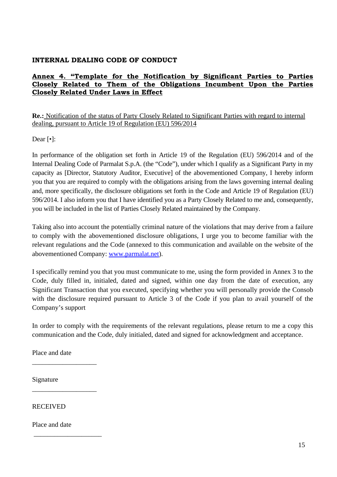### **Annex 4. "Template for the Notification by Significant Parties to Parties Closely Related to Them of the Obligations Incumbent Upon the Parties Closely Related Under Laws in Effect**

**Re.:** Notification of the status of Party Closely Related to Significant Parties with regard to internal dealing, pursuant to Article 19 of Regulation (EU) 596/2014

Dear [•]:

In performance of the obligation set forth in Article 19 of the Regulation (EU) 596/2014 and of the Internal Dealing Code of Parmalat S.p.A. (the "Code"), under which I qualify as a Significant Party in my capacity as [Director, Statutory Auditor, Executive] of the abovementioned Company, I hereby inform you that you are required to comply with the obligations arising from the laws governing internal dealing and, more specifically, the disclosure obligations set forth in the Code and Article 19 of Regulation (EU) 596/2014. I also inform you that I have identified you as a Party Closely Related to me and, consequently, you will be included in the list of Parties Closely Related maintained by the Company.

Taking also into account the potentially criminal nature of the violations that may derive from a failure to comply with the abovementioned disclosure obligations, I urge you to become familiar with the relevant regulations and the Code (annexed to this communication and available on the website of the abovementioned Company: www.parmalat.net).

I specifically remind you that you must communicate to me, using the form provided in Annex 3 to the Code, duly filled in, initialed, dated and signed, within one day from the date of execution, any Significant Transaction that you executed, specifying whether you will personally provide the Consob with the disclosure required pursuant to Article 3 of the Code if you plan to avail yourself of the Company's support

In order to comply with the requirements of the relevant regulations, please return to me a copy this communication and the Code, duly initialed, dated and signed for acknowledgment and acceptance.

Place and date

\_\_\_\_\_\_\_\_\_\_\_\_\_\_\_\_\_\_\_

\_\_\_\_\_\_\_\_\_\_\_\_\_\_\_\_\_\_\_

\_\_\_\_\_\_\_\_\_\_\_\_\_\_\_\_\_\_\_\_

Signature

RECEIVED

Place and date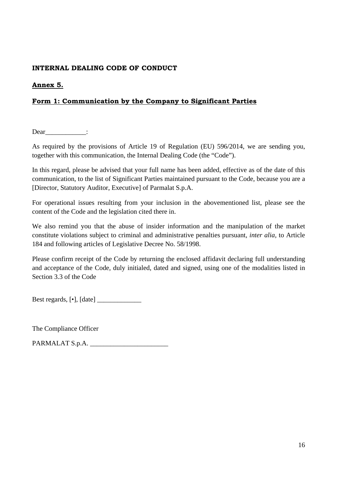### **Annex 5.**

### **Form 1: Communication by the Company to Significant Parties**

Dear :

As required by the provisions of Article 19 of Regulation (EU) 596/2014, we are sending you, together with this communication, the Internal Dealing Code (the "Code").

In this regard, please be advised that your full name has been added, effective as of the date of this communication, to the list of Significant Parties maintained pursuant to the Code, because you are a [Director, Statutory Auditor, Executive] of Parmalat S.p.A.

For operational issues resulting from your inclusion in the abovementioned list, please see the content of the Code and the legislation cited there in.

We also remind you that the abuse of insider information and the manipulation of the market constitute violations subject to criminal and administrative penalties pursuant, *inter alia,* to Article 184 and following articles of Legislative Decree No. 58/1998.

Please confirm receipt of the Code by returning the enclosed affidavit declaring full understanding and acceptance of the Code, duly initialed, dated and signed, using one of the modalities listed in Section 3.3 of the Code

Best regards,  $[\cdot]$ ,  $[date]$ 

The Compliance Officer

PARMALAT S.p.A.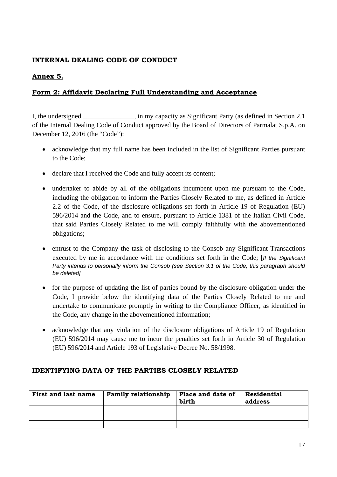### **Annex 5.**

### **Form 2: Affidavit Declaring Full Understanding and Acceptance**

I, the undersigned \_\_\_\_\_\_\_\_\_\_\_\_\_\_\_, in my capacity as Significant Party (as defined in Section 2.1 of the Internal Dealing Code of Conduct approved by the Board of Directors of Parmalat S.p.A. on December 12, 2016 (the "Code"):

- acknowledge that my full name has been included in the list of Significant Parties pursuant to the Code;
- declare that I received the Code and fully accept its content;
- undertaker to abide by all of the obligations incumbent upon me pursuant to the Code, including the obligation to inform the Parties Closely Related to me, as defined in Article 2.2 of the Code, of the disclosure obligations set forth in Article 19 of Regulation (EU) 596/2014 and the Code, and to ensure, pursuant to Article 1381 of the Italian Civil Code, that said Parties Closely Related to me will comply faithfully with the abovementioned obligations;
- entrust to the Company the task of disclosing to the Consob any Significant Transactions executed by me in accordance with the conditions set forth in the Code; [*If the Significant Party intends to personally inform the Consob (see Section 3.1 of the Code, this paragraph should be deleted]*
- for the purpose of updating the list of parties bound by the disclosure obligation under the Code, I provide below the identifying data of the Parties Closely Related to me and undertake to communicate promptly in writing to the Compliance Officer, as identified in the Code, any change in the abovementioned information;
- acknowledge that any violation of the disclosure obligations of Article 19 of Regulation (EU) 596/2014 may cause me to incur the penalties set forth in Article 30 of Regulation (EU) 596/2014 and Article 193 of Legislative Decree No. 58/1998.

#### **IDENTIFYING DATA OF THE PARTIES CLOSELY RELATED**

| <b>First and last name</b> | <b>Family relationship</b> | Place and date of<br>birth | <b>Residential</b><br>address |
|----------------------------|----------------------------|----------------------------|-------------------------------|
|                            |                            |                            |                               |
|                            |                            |                            |                               |
|                            |                            |                            |                               |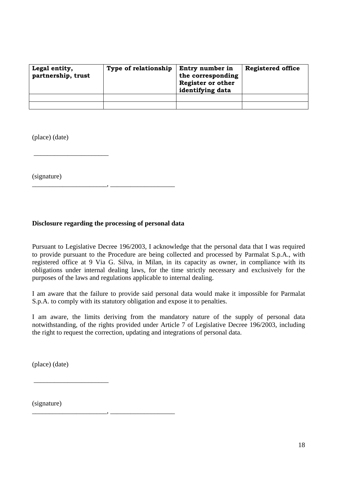| Legal entity,<br>partnership, trust | <b>Type of relationship</b> | Entry number in<br>the corresponding<br><b>Register or other</b><br>identifying data | <b>Registered office</b> |
|-------------------------------------|-----------------------------|--------------------------------------------------------------------------------------|--------------------------|
|                                     |                             |                                                                                      |                          |
|                                     |                             |                                                                                      |                          |

(place) (date)

 $\overline{\phantom{a}}$  , we can consider the constraint of  $\overline{\phantom{a}}$ 

(signature)

#### **Disclosure regarding the processing of personal data**

\_\_\_\_\_\_\_\_\_\_\_\_\_\_\_\_\_\_\_\_\_\_, \_\_\_\_\_\_\_\_\_\_\_\_\_\_\_\_\_\_\_

Pursuant to Legislative Decree 196/2003, I acknowledge that the personal data that I was required to provide pursuant to the Procedure are being collected and processed by Parmalat S.p.A., with registered office at 9 Via G. Silva, in Milan, in its capacity as owner, in compliance with its obligations under internal dealing laws, for the time strictly necessary and exclusively for the purposes of the laws and regulations applicable to internal dealing.

I am aware that the failure to provide said personal data would make it impossible for Parmalat S.p.A. to comply with its statutory obligation and expose it to penalties.

I am aware, the limits deriving from the mandatory nature of the supply of personal data notwithstanding, of the rights provided under Article 7 of Legislative Decree 196/2003, including the right to request the correction, updating and integrations of personal data.

(place) (date)

 $\overline{\phantom{a}}$  , we can consider the constraint of  $\overline{\phantom{a}}$ 

\_\_\_\_\_\_\_\_\_\_\_\_\_\_\_\_\_\_\_\_\_\_, \_\_\_\_\_\_\_\_\_\_\_\_\_\_\_\_\_\_\_

(signature)